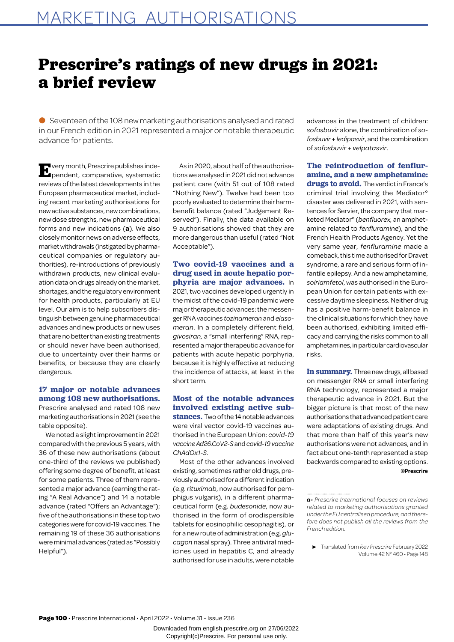# **Prescrire's ratings of new drugs in 2021: a brief review**

● Seventeen of the 108 new marketing authorisations analysed and rated in our French edition in 2021 represented a major or notable therapeutic advance for patients.

**E**very month, Prescrire publishes inde-<br>**Pendent**, comparative, systematic reviews of the latest developments in the European pharmaceutical market, including recent marketing authorisations for new active substances, new combinations, new dose strengths, new pharmaceutical forms and new indications (**a**). We also closely monitor news on adverse effects, market withdrawals (instigated by pharmaceutical companies or regulatory authorities), re-introductions of previously withdrawn products, new clinical evaluation data on drugs already on the market, shortages, and the regulatory environment for health products, particularly at EU level. Our aim is to help subscribers distinguish between genuine pharmaceutical advances and new products or new uses that are no better than existing treatments or should never have been authorised, due to uncertainty over their harms or benefits, or because they are clearly dangerous.

# **17 major or notable advances among 108 new authorisations.**  Prescrire analysed and rated 108 new

marketing authorisations in 2021 (see the table opposite). We noted a slight improvement in 2021

compared with the previous 5 years, with 36 of these new authorisations (about one-third of the reviews we published) offering some degree of benefit, at least for some patients. Three of them represented a major advance (earning the rating "A Real Advance") and 14 a notable advance (rated "Offers an Advantage"); five of the authorisations in these top two categories were for covid-19 vaccines. The remaining 19 of these 36 authorisations were minimal advances (rated as "Possibly Helpful").

As in 2020, about half of the authorisations we analysed in 2021 did not advance patient care (with 51 out of 108 rated "Nothing New"). Twelve had been too poorly evaluated to determine their harmbenefit balance (rated "Judgement Reserved"). Finally, the data available on 9 authorisations showed that they are more dangerous than useful (rated "Not Acceptable").

**Two covid-19 vaccines and a drug used in acute hepatic porphyria are major advances.** In 2021, two vaccines developed urgently in the midst of the covid-19 pandemic were major therapeutic advances: the messenger RNA vaccines *tozinameran* and *elasomeran*. In a completely different field, *givosiran,* a "small interfering" RNA, represented a major therapeutic advance for patients with acute hepatic porphyria, because it is highly effective at reducing the incidence of attacks, at least in the short term.

# **Most of the notable advances involved existing active sub-**

**stances.** Two of the 14 notable advances were viral vector covid-19 vaccines authorised in the European Union: *covid-19 vaccine Ad26.CoV2-S* and *covid-19 vaccine ChAdOx1-S*.

Most of the other advances involved existing, sometimes rather old drugs, previously authorised for a different indication (e.g. *rituximab*, now authorised for pemphigus vulgaris), in a different pharmaceutical form (e.g. *budesonide*, now authorised in the form of orodispersible tablets for eosinophilic œsophagitis), or for a new route of administration (e.g. *glucagon* nasal spray). Three antiviral medicines used in hepatitis C, and already authorised for use in adults, were notable advances in the treatment of children: *sofosbuvir* alone, the combination of *sofosbuvir* + *ledipasvir*, and the combination of *sofosbuvir* + *velpatasvir*.

**The reintroduction of fenfluramine, and a new amphetamine: drugs to avoid.** The verdict in France's criminal trial involving the Mediator° disaster was delivered in 2021, with sentences for Servier, the company that marketed Mediator° (*benfluorex,* an amphetamine related to *fenfluramine*), and the French Health Products Agency. Yet the very same year, *fenfluramine* made a comeback, this time authorised for Dravet syndrome, a rare and serious form of in-

fantile epilepsy. And a new amphetamine, *solriamfetol*, was authorised in the European Union for certain patients with excessive daytime sleepiness. Neither drug has a positive harm-benefit balance in the clinical situations for which they have been authorised, exhibiting limited efficacy and carrying the risks common to all amphetamines, in particular cardiovascular risks.

**In summary.** Three new drugs, all based on messenger RNA or small interfering RNA technology, represented a major therapeutic advance in 2021. But the bigger picture is that most of the new authorisations that advanced patient care were adaptations of existing drugs. And that more than half of this year's new authorisations were not advances, and in fact about one-tenth represented a step backwards compared to existing options. **©Prescrire**

**Page 100** • Prescrire International • April 2022 • Volume 31 - Issue 236

*a- Prescrire International focuses on reviews related to marketing authorisations granted under the EU centralised procedure, and therefore does not publish all the reviews from the French edition.* 

 <sup>▶</sup> Translated from *Rev Prescrire* February 2022 Volume 42 N° 460 • Page 148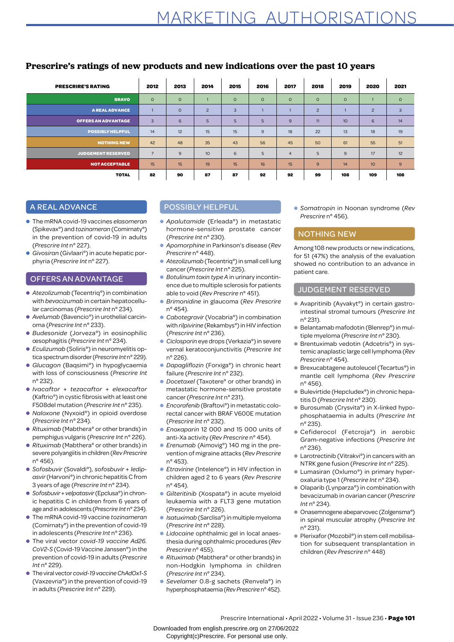| <b>PRESCRIRE'S RATING</b>  | 2012           | 2013    | 2014           | 2015    | 2016    | 2017           | 2018           | 2019    | 2020             | 2021    |
|----------------------------|----------------|---------|----------------|---------|---------|----------------|----------------|---------|------------------|---------|
| <b>BRAVO</b>               | $\circ$        | $\circ$ |                | $\circ$ | $\circ$ | $\circ$        | $\circ$        | $\circ$ |                  | $\circ$ |
| <b>A REAL ADVANCE</b>      |                | $\circ$ | $\overline{c}$ | 3       |         |                | $\overline{c}$ |         | $\overline{c}$   | 3       |
| <b>OFFERS AN ADVANTAGE</b> | 3              | 6       | 5              | 5       | 5       | 9              | 11             | 10      | 6                | 14      |
| <b>POSSIBLY HELPFUL</b>    | 14             | 12      | 15             | 15      | 9       | 18             | 22             | 13      | 18               | 19      |
| <b>NOTHING NEW</b>         | 42             | 48      | 35             | 43      | 56      | 45             | 50             | 61      | 55               | 51      |
| <b>JUDGEMENT RESERVED</b>  | $\overline{7}$ | 9       | 10             | 6       | 5       | $\overline{4}$ | 5              | 9       | 17               | 12      |
| <b>NOT ACCEPTABLE</b>      | 15             | 15      | 19             | 15      | 16      | 15             | 9              | 14      | 10 <sup>10</sup> | 9       |
| <b>TOTAL</b>               | 82             | 90      | 87             | 87      | 92      | 92             | 99             | 108     | 109              | 108     |

# **Prescrire's ratings of new products and new indications over the past 10 years**

# A REAL ADVANCE

- The mRNA covid-19 vaccines *elasomeran*  (Spikevax°) and *tozinameran* (Comirnaty°) in the prevention of covid-19 in adults (*Prescrire Int* n° 227).
- *Givosiran* (Givlaari°) in acute hepatic porphyria (*Prescrire Int* n° 227).

## OFFERS AN ADVANTAGE

- *Atezolizumab* (Tecentriq<sup>o</sup>) in combination with *bevacizumab* in certain hepatocellular carcinomas (*Prescrire Int* n° 234).
- *Avelumab* (Bavencio<sup>o</sup>) in urothelial carcinoma (*Prescrire Int* n° 233).
- *Budesonide* (Jorveza°) in eosinophilic œsophagitis (*Prescrire Int* n° 234).
- *Eculizumab* (Soliris°) in neuromyelitis optica spectrum disorder (*Prescrire Int* n° 229).
- *Glucagon* (Baqsimi°) in hypoglycaemia with loss of consciousness (*Prescrire Int*  n° 232).
- *Ivacaftor* + *tezacaftor* + *elexacaftor* (Kaftrio°) in cystic fibrosis with at least one F508del mutation (*Prescrire Int* n° 235).
- *Naloxone* (Nyxoid°) in opioid overdose (*Prescrire Int* n° 234).
- *Rituximab* (Mabthera° or other brands) in pemphigus vulgaris (*Prescrire Int* n° 226).
- *Rituximab* (Mabthera° or other brands) in severe polyangiitis in children (*Rev Prescrire*  n° 456).
- *Sofosbuvir* (Sovaldi°), *sofosbuvir* + *ledipasvir* (Harvoni°) in chronic hepatitis C from 3 years of age (*Prescrire Int* n° 234).
- *Sofosbuvir* + *velpatasvir* (Epclusa°) in chronic hepatitis C in children from 6 years of age and in adolescents (*Prescrire Int* n° 234).
- The mRNA covid-19 vaccine *tozinameran* (Comirnaty°) in the prevention of covid-19 in adolescents (*Prescrire Int* n° 236).
- The viral vector *covid-19 vaccine Ad26. CoV2-S* (Covid-19 Vaccine Janssen°) in the prevention of covid-19 in adults (*Prescrire Int* n° 229).
- The viral vector *covid-19 vaccine ChAdOx1-S* (Vaxzevria°) in the prevention of covid-19 in adults (*Prescrire Int* n° 229).

## POSSIBLY HELPFUL

- *Apalutamide* (Erleada°) in metastatic hormone-sensitive prostate cancer (*Prescrire Int* n° 230).
- *Apomorphine* in Parkinson's disease (*Rev Prescrire* n° 448).
- *Atezolizumab* (Tecentriq<sup>o</sup>) in small cell lung cancer (*Prescrire Int* n° 225).
- *Botulinum toxin type A* in urinary incontinence due to multiple sclerosis for patients able to void (*Rev Prescrire* n° 451).
- *Brimonidine* in glaucoma (*Rev Prescrire*  n° 454).
- *Cabotegravir* (Vocabria<sup>°</sup>) in combination with *rilpivirine* (Rekambys°) in HIV infection (*Prescrire Int* n° 236).
- *Ciclosporin* eye drops (Verkazia°) in severe vernal keratoconjunctivitis (*Prescrire Int* n° 226).
- *Dapagliflozin* (Forxiga°) in chronic heart failure (*Prescrire Int* n° 232).
- *Docetaxel* (Taxotere° or other brands) in metastatic hormone-sensitive prostate cancer (*Prescrire Int* n° 231).
- *Encorafenib* (Braftovi<sup>°</sup>) in metastatic colorectal cancer with BRAF V600E mutation (*Prescrire Int* n° 232).
- *Enoxaparin* 12 000 and 15 000 units of anti-Xa activity (*Rev Prescrire* n° 454).
- *Erenumab* (Aimovig°) 140 mg in the prevention of migraine attacks (*Rev Prescrire*  n° 453).
- *Etravirine* (Intelence°) in HIV infection in children aged 2 to 6 years (*Rev Prescrire*  n° 454).
- *Gilteritinib* (Xospata°) in acute myeloid leukaemia with a FLT3 gene mutation (*Prescrire Int* n° 226).
- *Isatuximab* (Sarclisa°) in multiple myeloma (*Prescrire Int* n° 228).
- *Lidocaine* ophthalmic gel in local anaesthesia during ophthalmic procedures (*Rev Prescrire* n° 455).
- *Rituximab* (Mabthera° or other brands) in non-Hodgkin lymphoma in children (*Prescrire Int* n° 234).
- *Sevelamer* 0.8-g sachets (Renvela°) in hyperphosphataemia (*Rev Prescrire* n° 452).

● *Somatropin* in Noonan syndrome (*Rev Prescrire* n° 456).

## NOTHING NEW

Among 108 new products or new indications, for 51 (47%) the analysis of the evaluation showed no contribution to an advance in patient care.

## JUDGEMENT RESERVED

- Avapritinib (Ayvakyt<sup>o</sup>) in certain gastrointestinal stromal tumours (*Prescrire Int* n° 231).
- Belantamab mafodotin (Blenrep<sup>o</sup>) in multiple myeloma (*Prescrire Int* n° 230).
- Brentuximab vedotin (Adcetris°) in systemic anaplastic large cell lymphoma (*Rev Prescrire* n° 454).
- Brexucabtagene autoleucel (Tecartus°) in mantle cell lymphoma (*Rev Prescrire*  n° 456).
- Bulevirtide (Hepcludex<sup>°</sup>) in chronic hepatitis D (*Prescrire Int* n° 230).
- Burosumab (Crysvita°) in X-linked hypophosphataemia in adults (*Prescrire Int* n° 235).
- Cefiderocol (Fetcroja°) in aerobic Gram-negative infections (*Prescrire Int*  n° 236).
- Larotrectinib (Vitrakvi<sup>o</sup>) in cancers with an NTRK gene fusion (*Prescrire Int* n° 225).
- Lumasiran (Oxlumo°) in primary hyperoxaluria type 1 (*Prescrire Int* n° 234).
- Olaparib (Lynparza<sup>o</sup>) in combination with bevacizumab in ovarian cancer (*Prescrire Int* n° 234).
- Onasemnogene abeparvovec (Zolgensma°) in spinal muscular atrophy (*Prescrire Int*  n° 231).
- Plerixafor (Mozobil<sup>o</sup>) in stem cell mobilisation for subsequent transplantation in children (*Rev Prescrire* n° 448)

Downloaded from english.prescrire.org on 27/06/2022 Copyright(c)Prescrire. For personal use only.